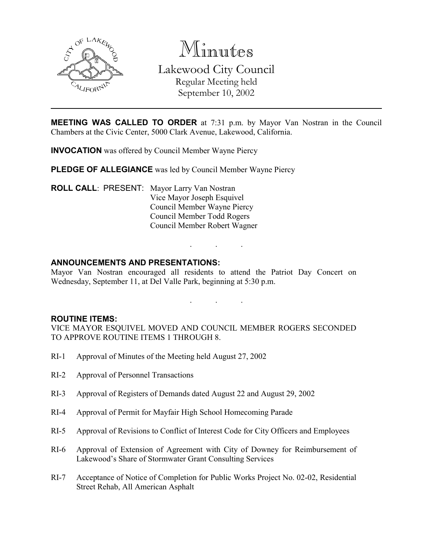

Minutes

Lakewood City Council Regular Meeting held September 10, 2002

**MEETING WAS CALLED TO ORDER** at 7:31 p.m. by Mayor Van Nostran in the Council Chambers at the Civic Center, 5000 Clark Avenue, Lakewood, California.

INVOCATION was offered by Council Member Wayne Piercy

PLEDGE OF ALLEGIANCE was led by Council Member Wayne Piercy

ROLL CALL: PRESENT: Mayor Larry Van Nostran Vice Mayor Joseph Esquivel Council Member Wayne Piercy Council Member Todd Rogers Council Member Robert Wagner

# ANNOUNCEMENTS AND PRESENTATIONS:

Mayor Van Nostran encouraged all residents to attend the Patriot Day Concert on Wednesday, September 11, at Del Valle Park, beginning at 5:30 p.m.

. . .

. . .

## ROUTINE ITEMS:

VICE MAYOR ESQUIVEL MOVED AND COUNCIL MEMBER ROGERS SECONDED TO APPROVE ROUTINE ITEMS 1 THROUGH 8.

- RI-1 Approval of Minutes of the Meeting held August 27, 2002
- RI-2 Approval of Personnel Transactions
- RI-3 Approval of Registers of Demands dated August 22 and August 29, 2002
- RI-4 Approval of Permit for Mayfair High School Homecoming Parade
- RI-5 Approval of Revisions to Conflict of Interest Code for City Officers and Employees
- RI-6 Approval of Extension of Agreement with City of Downey for Reimbursement of Lakewood's Share of Stormwater Grant Consulting Services
- RI-7 Acceptance of Notice of Completion for Public Works Project No. 02-02, Residential Street Rehab, All American Asphalt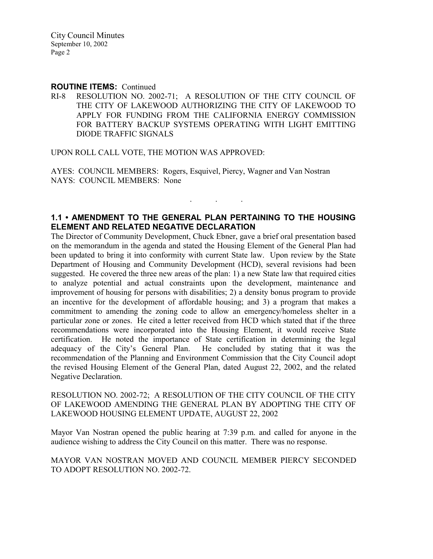City Council Minutes September 10, 2002 Page 2

#### ROUTINE ITEMS: Continued

RI-8 RESOLUTION NO. 2002-71; A RESOLUTION OF THE CITY COUNCIL OF THE CITY OF LAKEWOOD AUTHORIZING THE CITY OF LAKEWOOD TO APPLY FOR FUNDING FROM THE CALIFORNIA ENERGY COMMISSION FOR BATTERY BACKUP SYSTEMS OPERATING WITH LIGHT EMITTING DIODE TRAFFIC SIGNALS

UPON ROLL CALL VOTE, THE MOTION WAS APPROVED:

AYES: COUNCIL MEMBERS: Rogers, Esquivel, Piercy, Wagner and Van Nostran NAYS: COUNCIL MEMBERS: None

## 1.1 • AMENDMENT TO THE GENERAL PLAN PERTAINING TO THE HOUSING ELEMENT AND RELATED NEGATIVE DECLARATION

. . .

The Director of Community Development, Chuck Ebner, gave a brief oral presentation based on the memorandum in the agenda and stated the Housing Element of the General Plan had been updated to bring it into conformity with current State law. Upon review by the State Department of Housing and Community Development (HCD), several revisions had been suggested. He covered the three new areas of the plan: 1) a new State law that required cities to analyze potential and actual constraints upon the development, maintenance and improvement of housing for persons with disabilities; 2) a density bonus program to provide an incentive for the development of affordable housing; and 3) a program that makes a commitment to amending the zoning code to allow an emergency/homeless shelter in a particular zone or zones. He cited a letter received from HCD which stated that if the three recommendations were incorporated into the Housing Element, it would receive State certification. He noted the importance of State certification in determining the legal adequacy of the City's General Plan. He concluded by stating that it was the recommendation of the Planning and Environment Commission that the City Council adopt the revised Housing Element of the General Plan, dated August 22, 2002, and the related Negative Declaration.

RESOLUTION NO. 2002-72; A RESOLUTION OF THE CITY COUNCIL OF THE CITY OF LAKEWOOD AMENDING THE GENERAL PLAN BY ADOPTING THE CITY OF LAKEWOOD HOUSING ELEMENT UPDATE, AUGUST 22, 2002

Mayor Van Nostran opened the public hearing at 7:39 p.m. and called for anyone in the audience wishing to address the City Council on this matter. There was no response.

MAYOR VAN NOSTRAN MOVED AND COUNCIL MEMBER PIERCY SECONDED TO ADOPT RESOLUTION NO. 2002-72.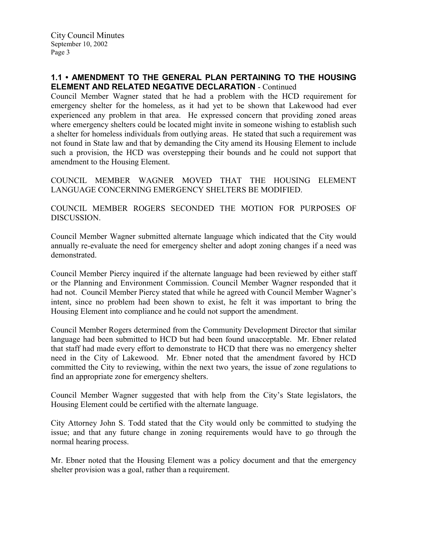## 1.1 • AMENDMENT TO THE GENERAL PLAN PERTAINING TO THE HOUSING ELEMENT AND RELATED NEGATIVE DECLARATION - Continued

Council Member Wagner stated that he had a problem with the HCD requirement for emergency shelter for the homeless, as it had yet to be shown that Lakewood had ever experienced any problem in that area. He expressed concern that providing zoned areas where emergency shelters could be located might invite in someone wishing to establish such a shelter for homeless individuals from outlying areas. He stated that such a requirement was not found in State law and that by demanding the City amend its Housing Element to include such a provision, the HCD was overstepping their bounds and he could not support that amendment to the Housing Element.

COUNCIL MEMBER WAGNER MOVED THAT THE HOUSING ELEMENT LANGUAGE CONCERNING EMERGENCY SHELTERS BE MODIFIED.

COUNCIL MEMBER ROGERS SECONDED THE MOTION FOR PURPOSES OF DISCUSSION.

Council Member Wagner submitted alternate language which indicated that the City would annually re-evaluate the need for emergency shelter and adopt zoning changes if a need was demonstrated.

Council Member Piercy inquired if the alternate language had been reviewed by either staff or the Planning and Environment Commission. Council Member Wagner responded that it had not. Council Member Piercy stated that while he agreed with Council Member Wagner's intent, since no problem had been shown to exist, he felt it was important to bring the Housing Element into compliance and he could not support the amendment.

Council Member Rogers determined from the Community Development Director that similar language had been submitted to HCD but had been found unacceptable. Mr. Ebner related that staff had made every effort to demonstrate to HCD that there was no emergency shelter need in the City of Lakewood. Mr. Ebner noted that the amendment favored by HCD committed the City to reviewing, within the next two years, the issue of zone regulations to find an appropriate zone for emergency shelters.

Council Member Wagner suggested that with help from the City's State legislators, the Housing Element could be certified with the alternate language.

City Attorney John S. Todd stated that the City would only be committed to studying the issue; and that any future change in zoning requirements would have to go through the normal hearing process.

Mr. Ebner noted that the Housing Element was a policy document and that the emergency shelter provision was a goal, rather than a requirement.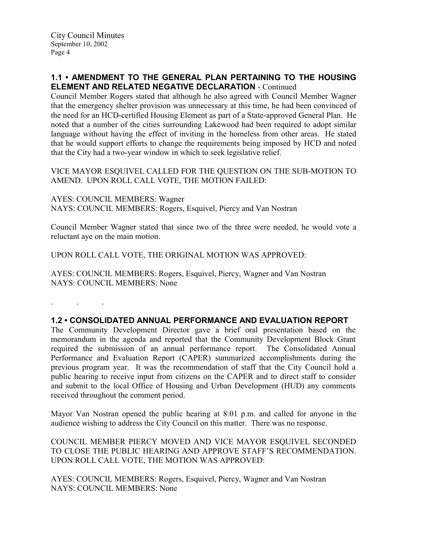. . .

# 1.1 • AMENDMENT TO THE GENERAL PLAN PERTAINING TO THE HOUSING ELEMENT AND RELATED NEGATIVE DECLARATION - Continued

Council Member Rogers stated that although he also agreed with Council Member Wagner that the emergency shelter provision was unnecessary at this time, he had been convinced of the need for an HCD-certified Housing Element as part of a State-approved General Plan. He noted that a number of the cities surrounding Lakewood had been required to adopt similar language without having the effect of inviting in the homeless from other areas. He stated that he would support efforts to change the requirements being imposed by HCD and noted that the City had a two-year window in which to seek legislative relief.

VICE MAYOR ESQUIVEL CALLED FOR THE QUESTION ON THE SUB-MOTION TO AMEND. UPON ROLL CALL VOTE, THE MOTION FAILED:

AYES: COUNCIL MEMBERS: Wagner NAYS: COUNCIL MEMBERS: Rogers, Esquivel, Piercy and Van Nostran

Council Member Wagner stated that since two of the three were needed, he would vote a reluctant aye on the main motion.

UPON ROLL CALL VOTE, THE ORIGINAL MOTION WAS APPROVED:

AYES: COUNCIL MEMBERS: Rogers, Esquivel, Piercy, Wagner and Van Nostran NAYS: COUNCIL MEMBERS: None

### 1.2 • CONSOLIDATED ANNUAL PERFORMANCE AND EVALUATION REPORT

The Community Development Director gave a brief oral presentation based on the memorandum in the agenda and reported that the Community Development Block Grant required the submission of an annual performance report. The Consolidated Annual Performance and Evaluation Report (CAPER) summarized accomplishments during the previous program year. It was the recommendation of staff that the City Council hold a public hearing to receive input from citizens on the CAPER and to direct staff to consider and submit to the local Office of Housing and Urban Development (HUD) any comments received throughout the comment period.

Mayor Van Nostran opened the public hearing at 8:01 p.m. and called for anyone in the audience wishing to address the City Council on this matter. There was no response.

COUNCIL MEMBER PIERCY MOVED AND VICE MAYOR ESQUIVEL SECONDED TO CLOSE THE PUBLIC HEARING AND APPROVE STAFF'S RECOMMENDATION. UPON ROLL CALL VOTE, THE MOTION WAS APPROVED:

AYES: COUNCIL MEMBERS: Rogers, Esquivel, Piercy, Wagner and Van Nostran NAYS: COUNCIL MEMBERS: None